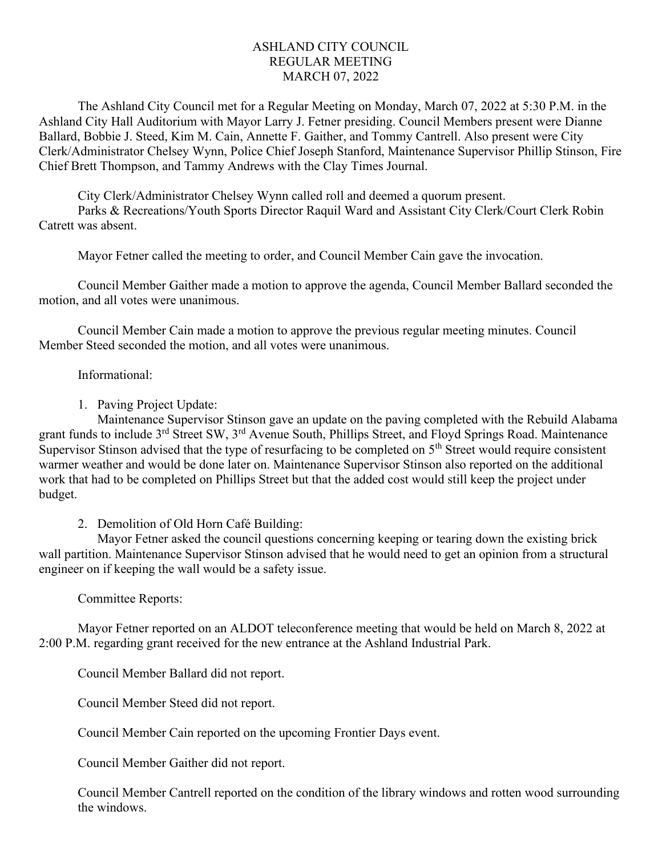## ASHLAND CITY COUNCIL REGULAR MEETING MARCH 07, 2022

The Ashland City Council met for a Regular Meeting on Monday, March 07, 2022 at 5:30 P.M. in the Ashland City Hall Auditorium with Mayor Larry J. Fetner presiding. Council Members present were Dianne Ballard, Bobbie J. Steed, Kim M. Cain, Annette F. Gaither, and Tommy Cantrell. Also present were City Clerk/Administrator Chelsey Wynn, Police Chief Joseph Stanford, Maintenance Supervisor Phillip Stinson, Fire Chief Brett Thompson, and Tammy Andrews with the Clay Times Journal.

City Clerk/Administrator Chelsey Wynn called roll and deemed a quorum present.

Parks & Recreations/Youth Sports Director Raquil Ward and Assistant City Clerk/Court Clerk Robin Catrett was absent.

Mayor Fetner called the meeting to order, and Council Member Cain gave the invocation.

Council Member Gaither made a motion to approve the agenda, Council Member Ballard seconded the motion, and all votes were unanimous.

Council Member Cain made a motion to approve the previous regular meeting minutes. Council Member Steed seconded the motion, and all votes were unanimous.

## Informational:

1. Paving Project Update:

Maintenance Supervisor Stinson gave an update on the paving completed with the Rebuild Alabama grant funds to include 3<sup>rd</sup> Street SW, 3<sup>rd</sup> Avenue South, Phillips Street, and Floyd Springs Road. Maintenance Supervisor Stinson advised that the type of resurfacing to be completed on 5<sup>th</sup> Street would require consistent warmer weather and would be done later on. Maintenance Supervisor Stinson also reported on the additional work that had to be completed on Phillips Street but that the added cost would still keep the project under budget.

2. Demolition of Old Horn Café Building:

 Mayor Fetner asked the council questions concerning keeping or tearing down the existing brick wall partition. Maintenance Supervisor Stinson advised that he would need to get an opinion from a structural engineer on if keeping the wall would be a safety issue.

## Committee Reports:

Mayor Fetner reported on an ALDOT teleconference meeting that would be held on March 8, 2022 at 2:00 P.M. regarding grant received for the new entrance at the Ashland Industrial Park.

Council Member Ballard did not report.

Council Member Steed did not report.

Council Member Cain reported on the upcoming Frontier Days event.

Council Member Gaither did not report.

Council Member Cantrell reported on the condition of the library windows and rotten wood surrounding the windows.